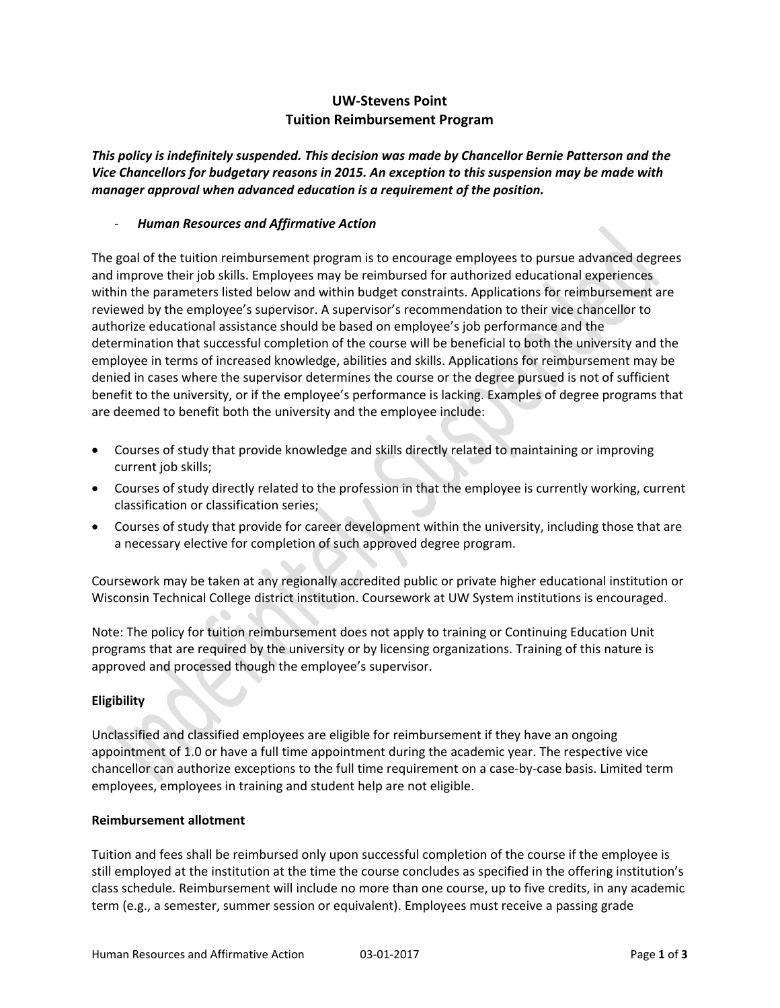# **UW‐Stevens Point Tuition Reimbursement Program**

*This policy is indefinitely suspended. This decision was made by Chancellor Bernie Patterson and the Vice Chancellors for budgetary reasons in 2015. An exception to this suspension may be made with manager approval when advanced education is a requirement of the position.*

### ‐ *Human Resources and Affirmative Action*

The goal of the tuition reimbursement program is to encourage employees to pursue advanced degrees and improve their job skills. Employees may be reimbursed for authorized educational experiences within the parameters listed below and within budget constraints. Applications for reimbursement are reviewed by the employee's supervisor. A supervisor's recommendation to their vice chancellor to authorize educational assistance should be based on employee's job performance and the determination that successful completion of the course will be beneficial to both the university and the employee in terms of increased knowledge, abilities and skills. Applications for reimbursement may be denied in cases where the supervisor determines the course or the degree pursued is not of sufficient benefit to the university, or if the employee's performance is lacking. Examples of degree programs that are deemed to benefit both the university and the employee include:

- Courses of study that provide knowledge and skills directly related to maintaining or improving current job skills;
- Courses of study directly related to the profession in that the employee is currently working, current classification or classification series;
- Courses of study that provide for career development within the university, including those that are a necessary elective for completion of such approved degree program.

Coursework may be taken at any regionally accredited public or private higher educational institution or Wisconsin Technical College district institution. Coursework at UW System institutions is encouraged.

Note: The policy for tuition reimbursement does not apply to training or Continuing Education Unit programs that are required by the university or by licensing organizations. Training of this nature is approved and processed though the employee's supervisor.

## **Eligibility**

Unclassified and classified employees are eligible for reimbursement if they have an ongoing appointment of 1.0 or have a full time appointment during the academic year. The respective vice chancellor can authorize exceptions to the full time requirement on a case-by-case basis. Limited term employees, employees in training and student help are not eligible.

### **Reimbursement allotment**

Tuition and fees shall be reimbursed only upon successful completion of the course if the employee is still employed at the institution at the time the course concludes as specified in the offering institution's class schedule. Reimbursement will include no more than one course, up to five credits, in any academic term (e.g., a semester, summer session or equivalent). Employees must receive a passing grade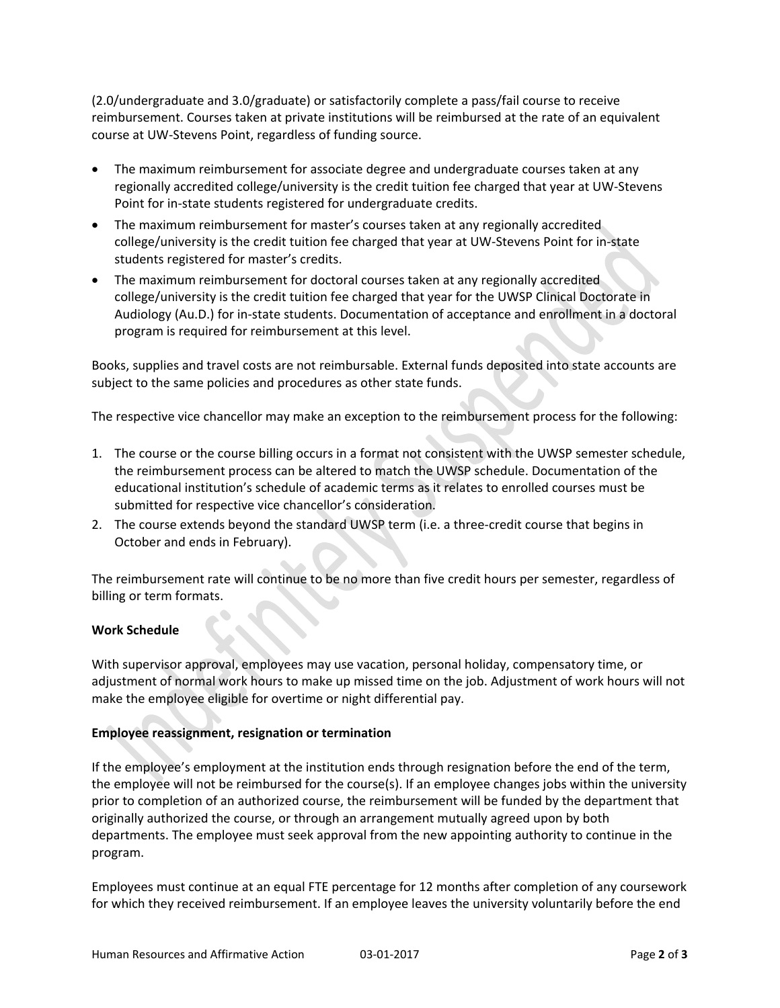(2.0/undergraduate and 3.0/graduate) or satisfactorily complete a pass/fail course to receive reimbursement. Courses taken at private institutions will be reimbursed at the rate of an equivalent course at UW‐Stevens Point, regardless of funding source.

- The maximum reimbursement for associate degree and undergraduate courses taken at any regionally accredited college/university is the credit tuition fee charged that year at UW‐Stevens Point for in-state students registered for undergraduate credits.
- The maximum reimbursement for master's courses taken at any regionally accredited college/university is the credit tuition fee charged that year at UW‐Stevens Point for in‐state students registered for master's credits.
- The maximum reimbursement for doctoral courses taken at any regionally accredited college/university is the credit tuition fee charged that year for the UWSP Clinical Doctorate in Audiology (Au.D.) for in‐state students. Documentation of acceptance and enrollment in a doctoral program is required for reimbursement at this level.

Books, supplies and travel costs are not reimbursable. External funds deposited into state accounts are subject to the same policies and procedures as other state funds.

The respective vice chancellor may make an exception to the reimbursement process for the following:

- 1. The course or the course billing occurs in a format not consistent with the UWSP semester schedule, the reimbursement process can be altered to match the UWSP schedule. Documentation of the educational institution's schedule of academic terms as it relates to enrolled courses must be submitted for respective vice chancellor's consideration.
- 2. The course extends beyond the standard UWSP term (i.e. a three-credit course that begins in October and ends in February).

The reimbursement rate will continue to be no more than five credit hours per semester, regardless of billing or term formats.

## **Work Schedule**

With supervisor approval, employees may use vacation, personal holiday, compensatory time, or adjustment of normal work hours to make up missed time on the job. Adjustment of work hours will not make the employee eligible for overtime or night differential pay.

## **Employee reassignment, resignation or termination**

If the employee's employment at the institution ends through resignation before the end of the term, the employee will not be reimbursed for the course(s). If an employee changes jobs within the university prior to completion of an authorized course, the reimbursement will be funded by the department that originally authorized the course, or through an arrangement mutually agreed upon by both departments. The employee must seek approval from the new appointing authority to continue in the program.

Employees must continue at an equal FTE percentage for 12 months after completion of any coursework for which they received reimbursement. If an employee leaves the university voluntarily before the end